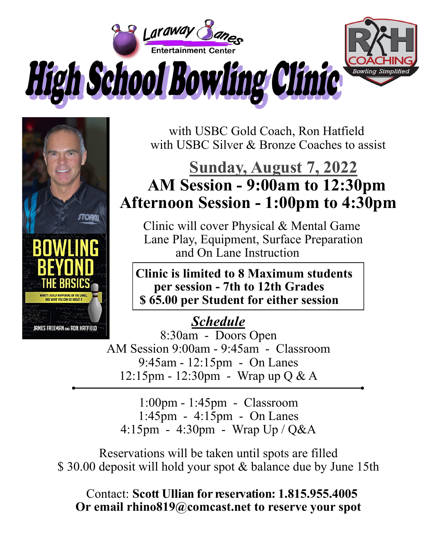



 with USBC Gold Coach, Ron Hatfield with USBC Silver & Bronze Coaches to assist

## **Sunday, August 7, 2022 AM Session - 9:00am to 12:30pm Afternoon Session - 1:00pm to 4:30pm**

 Clinic will cover Physical & Mental Game Lane Play, Equipment, Surface Preparation and On Lane Instruction

 **Clinic is limited to 8 Maximum students per session - 7th to 12th Grades \$ 65.00 per Student for either session**

## *Schedule*

8:30am - Doors Open AM Session 9:00am - 9:45am - Classroom 9:45am - 12:15pm - On Lanes 12:15pm - 12:30pm - Wrap up Q & A

1:00pm - 1:45pm - Classroom 1:45pm - 4:15pm - On Lanes 4:15pm - 4:30pm - Wrap Up / Q&A

Reservations will be taken until spots are filled \$30.00 deposit will hold your spot & balance due by June 15th

 Contact: **Scott Ullian for reservation: 1.815.955.4005 Or email rhino819@comcast.net to reserve your spot**